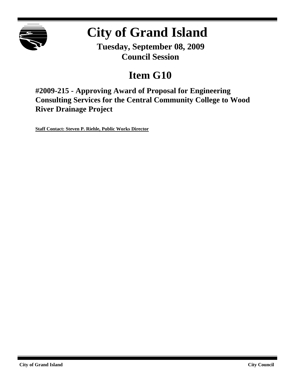

# **City of Grand Island**

**Tuesday, September 08, 2009 Council Session**

## **Item G10**

**#2009-215 - Approving Award of Proposal for Engineering Consulting Services for the Central Community College to Wood River Drainage Project**

**Staff Contact: Steven P. Riehle, Public Works Director**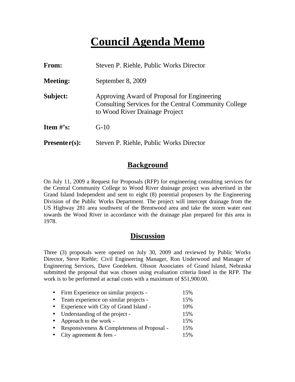## **Council Agenda Memo**

| <b>From:</b>    | Steven P. Riehle, Public Works Director                                                                                                |
|-----------------|----------------------------------------------------------------------------------------------------------------------------------------|
| <b>Meeting:</b> | September 8, 2009                                                                                                                      |
| Subject:        | Approving Award of Proposal for Engineering<br>Consulting Services for the Central Community College<br>to Wood River Drainage Project |
| Item $\#$ 's:   | $G-10$                                                                                                                                 |
| $Presenter(s):$ | Steven P. Riehle, Public Works Director                                                                                                |

### **Background**

On July 11, 2009 a Request for Proposals (RFP) for engineering consulting services for the Central Community College to Wood River drainage project was advertised in the Grand Island Independent and sent to eight (8) potential proposers by the Engineering Division of the Public Works Department. The project will intercept drainage from the US Highway 281 area southwest of the Brentwood area and take the storm water east towards the Wood River in accordance with the drainage plan prepared for this area in 1978.

### **Discussion**

Three (3) proposals were opened on July 30, 2009 and reviewed by Public Works Director, Steve Riehle; Civil Engineering Manager, Ron Underwood and Manager of Engineering Services, Dave Goedeken. Olsson Associates of Grand Island, Nebraska submitted the proposal that was chosen using evaluation criteria listed in the RFP. The work is to be performed at actual costs with a maximum of \$51,900.00.

|           | • Firm Experience on similar projects -     | 15% |
|-----------|---------------------------------------------|-----|
| $\bullet$ | Team experience on similar projects -       | 15% |
| $\bullet$ | Experience with City of Grand Island -      | 10% |
| $\bullet$ | Understanding of the project -              | 15% |
|           | • Approach to the work -                    | 15% |
| $\bullet$ | Responsiveness & Completeness of Proposal - | 15% |
|           | • City agreement $& \text{fees}$ -          | 15% |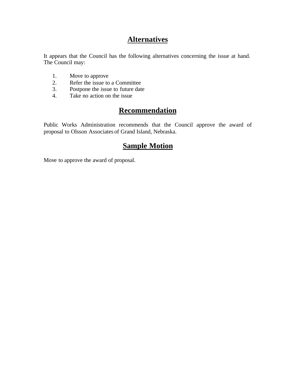## **Alternatives**

It appears that the Council has the following alternatives concerning the issue at hand. The Council may:

- 1. Move to approve
- 2. Refer the issue to a Committee<br>3. Postpone the issue to future date
- Postpone the issue to future date
- 4. Take no action on the issue

## **Recommendation**

Public Works Administration recommends that the Council approve the award of proposal to Olsson Associates of Grand Island, Nebraska.

### **Sample Motion**

Move to approve the award of proposal.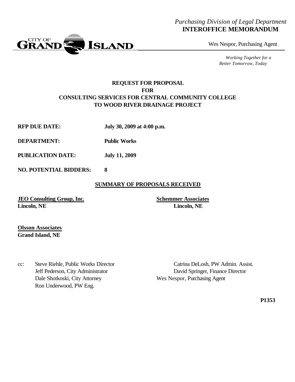#### *Purchasing Division of Legal Department* **INTEROFFICE MEMORANDUM**



Wes Nespor, Purchasing Agent

*Working Together for a Better Tomorrow, Today*

#### **REQUEST FOR PROPOSAL FOR CONSULTING SERVICES FOR CENTRAL COMMUNITY COLLEGE TO WOOD RIVER DRAINAGE PROJECT**

- **RFP DUE DATE: July 30, 2009 at 4:00 p.m.**
- **DEPARTMENT: Public Works**
- **PUBLICATION DATE: July 11, 2009**
- **NO. POTENTIAL BIDDERS: 8**

#### **SUMMARY OF PROPOSALS RECEIVED**

**JEO Consulting Group, Inc. Schemmer Associates Lincoln, NE Lincoln, NE**

**Olsson Associates Grand Island, NE**

cc: Steve Riehle, Public Works Director Catrina DeLosh, PW Admin. Assist. Dale Shotkoski, City Attorney Wes Nespor, Purchasing Agent Ron Underwood, PW Eng.

Jeff Pederson, City Administrator David Springer, Finance Director

**P1353**